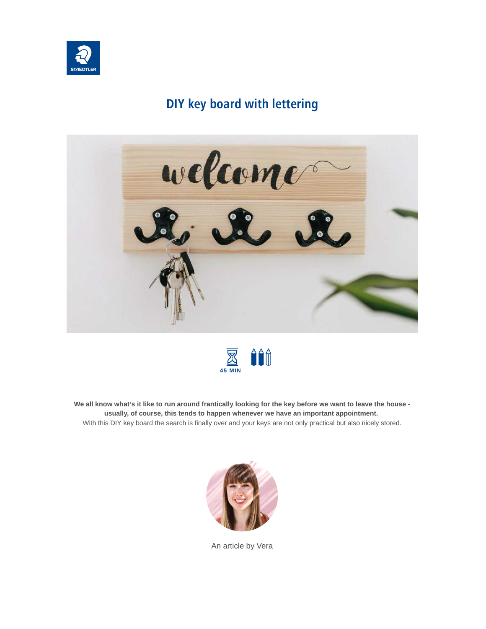

# **DIY key board with lettering**





**We all know what's it like to run around frantically looking for the key before we want to leave the house usually, of course, this tends to happen whenever we have an important appointment.** With this DIY key board the search is finally over and your keys are not only practical but also nicely stored.



An article by Vera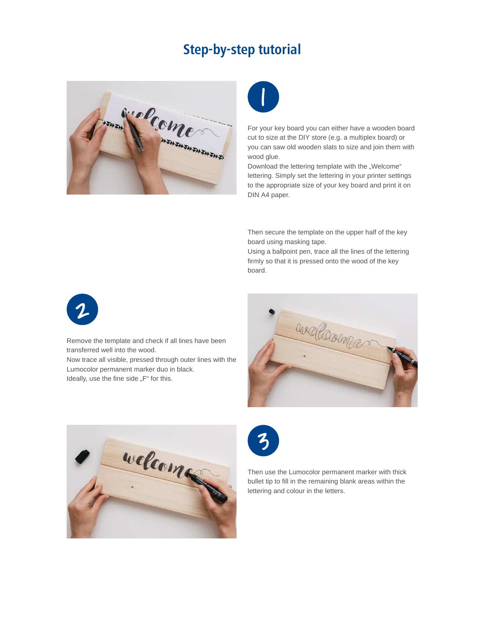# **Step-by-step tutorial**





For your key board you can either have a wooden board cut to size at the DIY store (e.g. a multiplex board) or you can saw old wooden slats to size and join them with wood glue.

Download the lettering template with the "Welcome" lettering. Simply set the lettering in your printer settings to the appropriate size of your key board and print it on DIN A4 paper.

Then secure the template on the upper half of the key board using masking tape.

Using a ballpoint pen, trace all the lines of the lettering firmly so that it is pressed onto the wood of the key board.



Remove the template and check if all lines have been transferred well into the wood. Now trace all visible, pressed through outer lines with the Lumocolor permanent marker duo in black.

Ideally, use the fine side "F" for this.







Then use the Lumocolor permanent marker with thick bullet tip to fill in the remaining blank areas within the lettering and colour in the letters.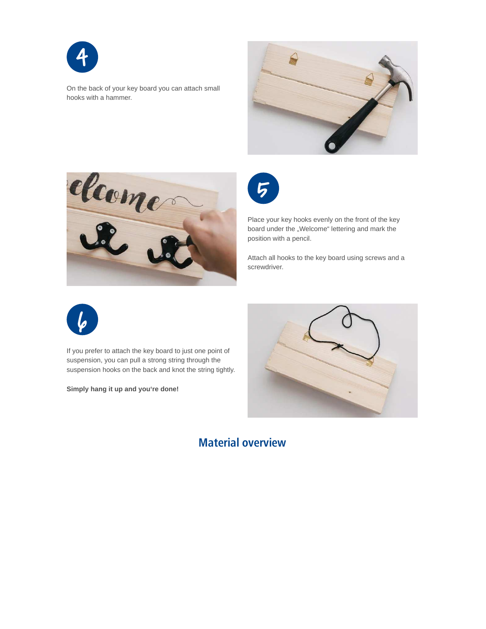

On the back of your key board you can attach small hooks with a hammer.







Place your key hooks evenly on the front of the key board under the "Welcome" lettering and mark the position with a pencil.

Attach all hooks to the key board using screws and a screwdriver.



If you prefer to attach the key board to just one point of suspension, you can pull a strong string through the suspension hooks on the back and knot the string tightly.

**Simply hang it up and you're done!**



### **Material overview**